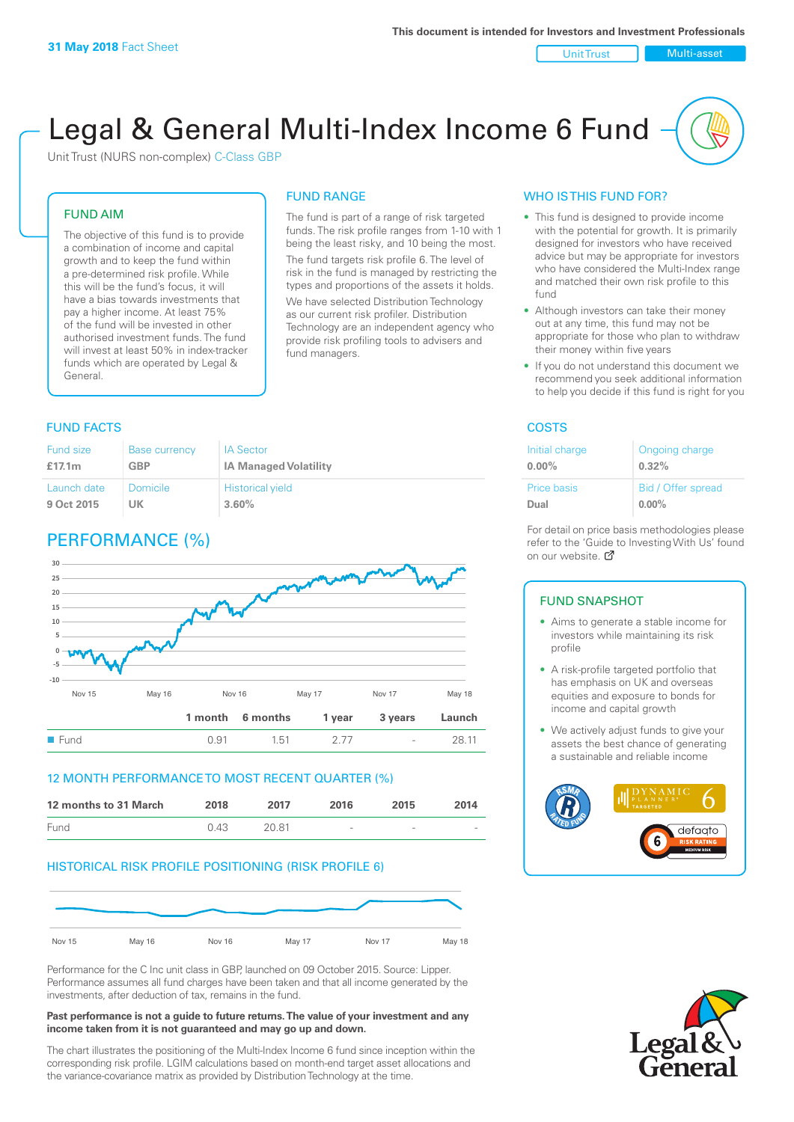Unit Trust Nulti-asset

# Legal & General Multi-Index Income 6 Fund

Unit Trust (NURS non-complex) C-Class GBP

#### FUND AIM

The objective of this fund is to provide a combination of income and capital growth and to keep the fund within a pre-determined risk profile. While this will be the fund's focus, it will have a bias towards investments that pay a higher income. At least 75% of the fund will be invested in other authorised investment funds. The fund will invest at least 50% in index-tracker funds which are operated by Legal & General.

#### FUND RANGE

The fund is part of a range of risk targeted funds. The risk profile ranges from 1-10 with 1 being the least risky, and 10 being the most. The fund targets risk profile 6. The level of risk in the fund is managed by restricting the

types and proportions of the assets it holds. We have selected Distribution Technology as our current risk profiler. Distribution Technology are an independent agency who provide risk profiling tools to advisers and fund managers.

#### **FUND FACTS** COSTS

| <b>Fund size</b> | <b>Base currency</b> | <b>IA Sector</b>             |
|------------------|----------------------|------------------------------|
| £17.1 $m$        | GBP                  | <b>IA Managed Volatility</b> |
| Launch date      | Domicile             | <b>Historical yield</b>      |
| 9 Oct 2015       | UK                   | 3.60%                        |

### PERFORMANCE (%)



#### 12 MONTH PERFORMANCE TO MOST RECENT QUARTER (%)

| 12 months to 31 March | 2018 | 2017  | 2016            | 2015   | 2014   |
|-----------------------|------|-------|-----------------|--------|--------|
| Fund                  | 0.43 | 20.81 | $\qquad \qquad$ | $\sim$ | $\sim$ |

#### HISTORICAL RISK PROFILE POSITIONING (RISK PROFILE 6)



Performance for the C Inc unit class in GBP, launched on 09 October 2015. Source: Lipper. Performance assumes all fund charges have been taken and that all income generated by the investments, after deduction of tax, remains in the fund.

#### **Past performance is not a guide to future returns. The value of your investment and any income taken from it is not guaranteed and may go up and down.**

The chart illustrates the positioning of the Multi-Index Income 6 fund since inception within the corresponding risk profile. LGIM calculations based on month-end target asset allocations and the variance-covariance matrix as provided by Distribution Technology at the time.

#### WHO IS THIS FUND FOR?

- This fund is designed to provide income with the potential for growth. It is primarily designed for investors who have received advice but may be appropriate for investors who have considered the Multi-Index range and matched their own risk profile to this fund
- Although investors can take their money out at any time, this fund may not be appropriate for those who plan to withdraw their money within five years
- If you do not understand this document we recommend you seek additional information to help you decide if this fund is right for you

| Initial charge | Ongoing charge     |
|----------------|--------------------|
| $0.00\%$       | 0.32%              |
| Price basis    | Bid / Offer spread |
| Dual           | $0.00\%$           |

For detail on price basis methodologies please refer to the 'Guide to Investing With Us' found on our website. Ø

#### FUND SNAPSHOT

- Aims to generate a stable income for investors while maintaining its risk profile
- A risk-profile targeted portfolio that has emphasis on UK and overseas equities and exposure to bonds for income and capital growth
- We actively adjust funds to give your assets the best chance of generating a sustainable and reliable income



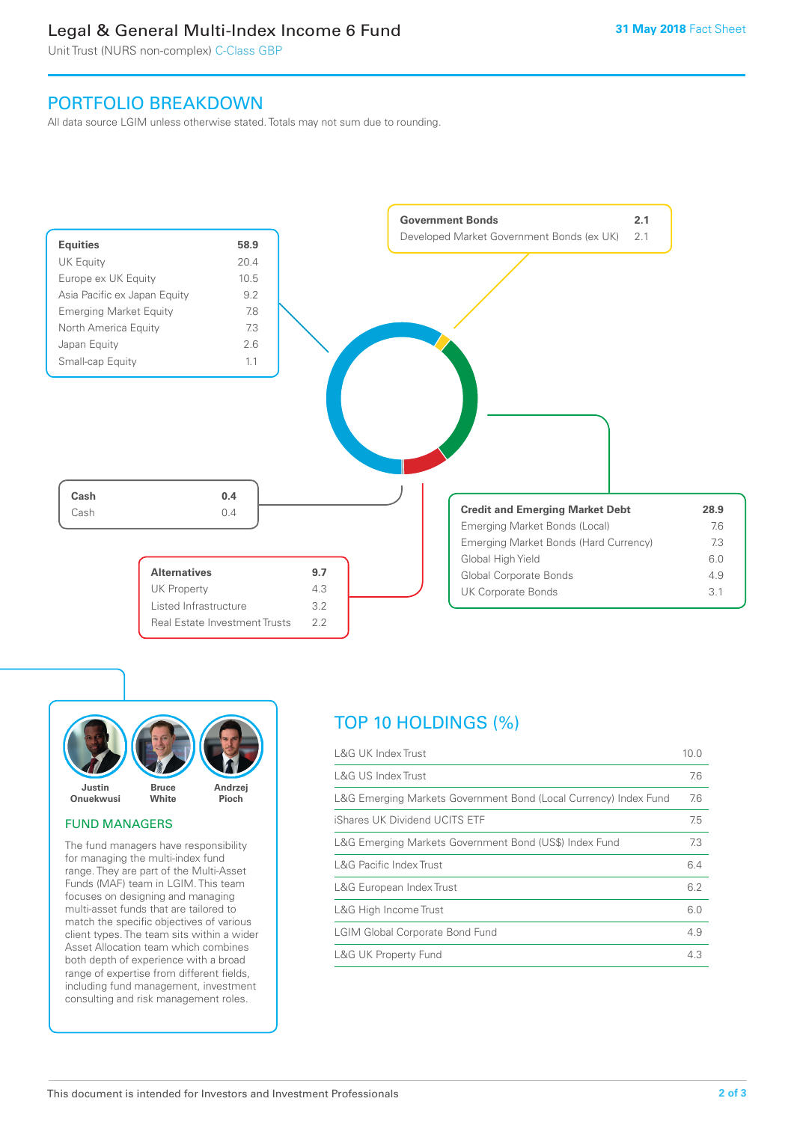### Legal & General Multi-Index Income 6 Fund

Unit Trust (NURS non-complex) C-Class GBP

### PORTFOLIO BREAKDOWN

All data source LGIM unless otherwise stated. Totals may not sum due to rounding.





#### FUND MANAGERS

The fund managers have responsibility for managing the multi-index fund range. They are part of the Multi-Asset Funds (MAF) team in LGIM. This team focuses on designing and managing multi-asset funds that are tailored to match the specific objectives of various client types. The team sits within a wider Asset Allocation team which combines both depth of experience with a broad range of expertise from different fields, including fund management, investment consulting and risk management roles.

## TOP 10 HOLDINGS (%)

| <b>L&amp;G UK Index Trust</b>                                    | 10.0 |
|------------------------------------------------------------------|------|
| L&G US Index Trust                                               | 7.6  |
| L&G Emerging Markets Government Bond (Local Currency) Index Fund | 7.6  |
| iShares UK Dividend UCITS ETF                                    | 7.5  |
| L&G Emerging Markets Government Bond (US\$) Index Fund           | 7.3  |
| <b>L&amp;G Pacific Index Trust</b>                               | 6.4  |
| L&G European Index Trust                                         | 6.2  |
| L&G High Income Trust                                            | 6.0  |
| <b>LGIM Global Corporate Bond Fund</b>                           | 4.9  |
| <b>L&amp;G UK Property Fund</b>                                  | 4.3  |